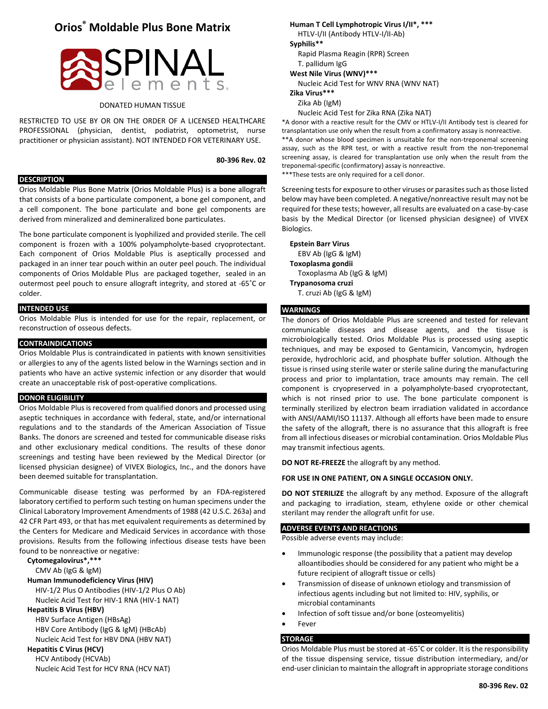# **Orios® Moldable Plus Bone Matrix**



# DONATED HUMAN TISSUE

RESTRICTED TO USE BY OR ON THE ORDER OF A LICENSED HEALTHCARE PROFESSIONAL (physician, dentist, podiatrist, optometrist, nurse practitioner or physician assistant). NOT INTENDED FOR VETERINARY USE.

**80-396 Rev. 02**

# **DESCRIPTION**

Orios Moldable Plus Bone Matrix (Orios Moldable Plus) is a bone allograft that consists of a bone particulate component, a bone gel component, and a cell component. The bone particulate and bone gel components are derived from mineralized and demineralized bone particulates.

The bone particulate component is lyophilized and provided sterile. The cell component is frozen with a 100% polyampholyte-based cryoprotectant. Each component of Orios Moldable Plus is aseptically processed and packaged in an inner tear pouch within an outer peel pouch. The individual components of Orios Moldable Plus are packaged together, sealed in an outermost peel pouch to ensure allograft integrity, and stored at -65˚C or colder.

#### **INTENDED USE**

Orios Moldable Plus is intended for use for the repair, replacement, or reconstruction of osseous defects.

#### **CONTRAINDICATIONS**

Orios Moldable Plus is contraindicated in patients with known sensitivities or allergies to any of the agents listed below in the Warnings section and in patients who have an active systemic infection or any disorder that would create an unacceptable risk of post-operative complications.

#### **DONOR ELIGIBILITY**

Orios Moldable Plus is recovered from qualified donors and processed using aseptic techniques in accordance with federal, state, and/or international regulations and to the standards of the American Association of Tissue Banks. The donors are screened and tested for communicable disease risks and other exclusionary medical conditions. The results of these donor screenings and testing have been reviewed by the Medical Director (or licensed physician designee) of VIVEX Biologics, Inc., and the donors have been deemed suitable for transplantation.

Communicable disease testing was performed by an FDA-registered laboratory certified to perform such testing on human specimens under the Clinical Laboratory Improvement Amendments of 1988 (42 U.S.C. 263a) and 42 CFR Part 493, or that has met equivalent requirements as determined by the Centers for Medicare and Medicaid Services in accordance with those provisions. Results from the following infectious disease tests have been found to be nonreactive or negative:

**Cytomegalovirus\*,\*\*\***

CMV Ab (IgG & IgM)

# **Human Immunodeficiency Virus (HIV)**

HIV-1/2 Plus O Antibodies (HIV-1/2 Plus O Ab) Nucleic Acid Test for HIV-1 RNA (HIV-1 NAT)

# **Hepatitis B Virus (HBV)**

HBV Surface Antigen (HBsAg) HBV Core Antibody (IgG & IgM) (HBcAb) Nucleic Acid Test for HBV DNA (HBV NAT)

# **Hepatitis C Virus (HCV)**

HCV Antibody (HCVAb) Nucleic Acid Test for HCV RNA (HCV NAT)

**Human T Cell Lymphotropic Virus I/II\*, \*\*\*** HTLV-I/II (Antibody HTLV-I/II-Ab) **Syphilis\*\***  Rapid Plasma Reagin (RPR) Screen T. pallidum IgG **West Nile Virus (WNV)\*\*\*** Nucleic Acid Test for WNV RNA (WNV NAT) **Zika Virus\*\*\*** Zika Ab (IgM)

Nucleic Acid Test for Zika RNA (Zika NAT)

\*A donor with a reactive result for the CMV or HTLV-I/II Antibody test is cleared for transplantation use only when the result from a confirmatory assay is nonreactive. \*\*A donor whose blood specimen is unsuitable for the non-treponemal screening assay, such as the RPR test, or with a reactive result from the non-treponemal screening assay, is cleared for transplantation use only when the result from the treponemal-specific (confirmatory) assay is nonreactive. \*\*\*These tests are only required for a cell donor.

Screening tests for exposure to other viruses or parasites such as those listed below may have been completed. A negative/nonreactive result may not be required for these tests; however, all results are evaluated on a case-by-case basis by the Medical Director (or licensed physician designee) of VIVEX Biologics.

**Epstein Barr Virus**  EBV Ab (IgG & IgM) **Toxoplasma gondii**  Toxoplasma Ab (IgG & IgM) **Trypanosoma cruzi**  T. cruzi Ab (IgG & IgM)

# **WARNINGS**

The donors of Orios Moldable Plus are screened and tested for relevant communicable diseases and disease agents, and the tissue is microbiologically tested. Orios Moldable Plus is processed using aseptic techniques, and may be exposed to Gentamicin, Vancomycin, hydrogen peroxide, hydrochloric acid, and phosphate buffer solution. Although the tissue is rinsed using sterile water or sterile saline during the manufacturing process and prior to implantation, trace amounts may remain. The cell component is cryopreserved in a polyampholyte-based cryoprotectant, which is not rinsed prior to use. The bone particulate component is terminally sterilized by electron beam irradiation validated in accordance with ANSI/AAMI/ISO 11137. Although all efforts have been made to ensure the safety of the allograft, there is no assurance that this allograft is free from all infectious diseases or microbial contamination. Orios Moldable Plus may transmit infectious agents.

**DO NOT RE-FREEZE** the allograft by any method.

# **FOR USE IN ONE PATIENT, ON A SINGLE OCCASION ONLY.**

**DO NOT STERILIZE** the allograft by any method. Exposure of the allograft and packaging to irradiation, steam, ethylene oxide or other chemical sterilant may render the allograft unfit for use.

### **ADVERSE EVENTS AND REACTIONS**

Possible adverse events may include:

- Immunologic response (the possibility that a patient may develop alloantibodies should be considered for any patient who might be a future recipient of allograft tissue or cells)
- Transmission of disease of unknown etiology and transmission of infectious agents including but not limited to: HIV, syphilis, or microbial contaminants
- Infection of soft tissue and/or bone (osteomyelitis)
- **Fever**

# **STORAGE**

Orios Moldable Plus must be stored at -65˚C or colder. It is the responsibility of the tissue dispensing service, tissue distribution intermediary, and/or end-user clinician to maintain the allograft in appropriate storage conditions